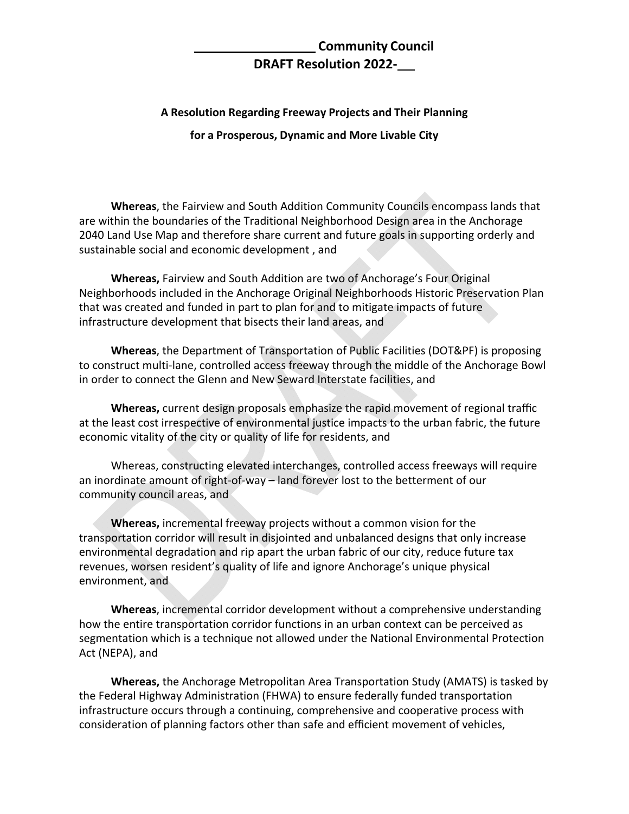## **Community Council DRAFT Resolution 2022‐**

## **A Resolution Regarding Freeway Projects and Their Planning**

**for a Prosperous, Dynamic and More Livable City**

**Whereas**, the Fairview and South Addition Community Councils encompass lands that are within the boundaries of the Traditional Neighborhood Design area in the Anchorage 2040 Land Use Map and therefore share current and future goals in supporting orderly and sustainable social and economic development , and

**Whereas,** Fairview and South Addition are two of Anchorage's Four Original Neighborhoods included in the Anchorage Original Neighborhoods Historic Preservation Plan that was created and funded in part to plan for and to mitigate impacts of future infrastructure development that bisects their land areas, and

**Whereas**, the Department of Transportation of Public Facilities (DOT&PF) is proposing to construct multi‐lane, controlled access freeway through the middle of the Anchorage Bowl in order to connect the Glenn and New Seward Interstate facilities, and

**Whereas,** current design proposals emphasize the rapid movement of regional traffic at the least cost irrespective of environmental justice impacts to the urban fabric, the future economic vitality of the city or quality of life for residents, and

Whereas, constructing elevated interchanges, controlled access freeways will require an inordinate amount of right-of-way – land forever lost to the betterment of our community council areas, and

**Whereas,** incremental freeway projects without a common vision for the transportation corridor will result in disjointed and unbalanced designs that only increase environmental degradation and rip apart the urban fabric of our city, reduce future tax revenues, worsen resident's quality of life and ignore Anchorage's unique physical environment, and

**Whereas**, incremental corridor development without a comprehensive understanding how the entire transportation corridor functions in an urban context can be perceived as segmentation which is a technique not allowed under the National Environmental Protection Act (NEPA), and

**Whereas,** the Anchorage Metropolitan Area Transportation Study (AMATS) is tasked by the Federal Highway Administration (FHWA) to ensure federally funded transportation infrastructure occurs through a continuing, comprehensive and cooperative process with consideration of planning factors other than safe and efficient movement of vehicles,